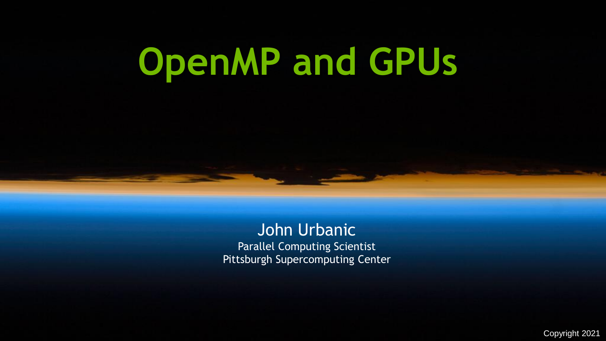# **OpenMP and GPUs**

John Urbanic Parallel Computing Scientist Pittsburgh Supercomputing Center

Copyright 2021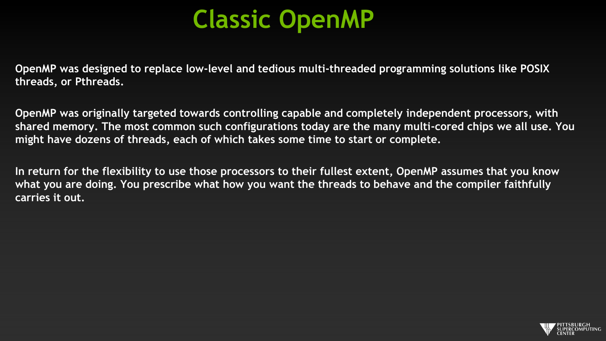# **Classic OpenMP**

**OpenMP was designed to replace low-level and tedious multi-threaded programming solutions like POSIX threads, or Pthreads.**

**OpenMP was originally targeted towards controlling capable and completely independent processors, with shared memory. The most common such configurations today are the many multi-cored chips we all use. You might have dozens of threads, each of which takes some time to start or complete.**

**In return for the flexibility to use those processors to their fullest extent, OpenMP assumes that you know what you are doing. You prescribe what how you want the threads to behave and the compiler faithfully carries it out.**

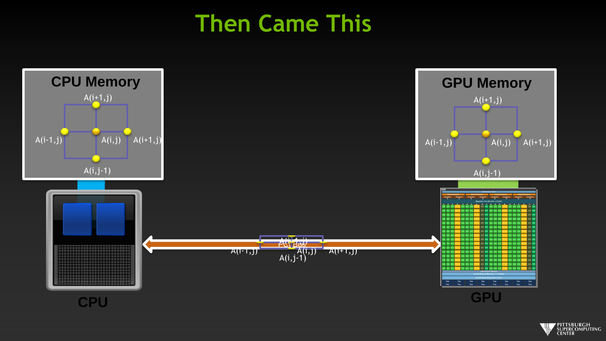### **Then Came This**



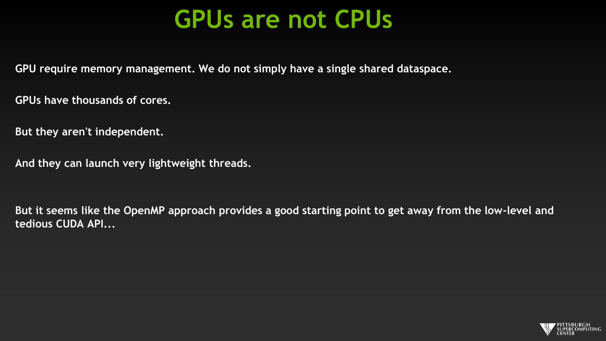### **GPUs are not CPUs**

**GPU require memory management. We do not simply have a single shared dataspace.**

**GPUs have thousands of cores.**

**But they aren't independent.**

**And they can launch very lightweight threads.**

**But it seems like the OpenMP approach provides a good starting point to get away from the low-level and tedious CUDA API...**

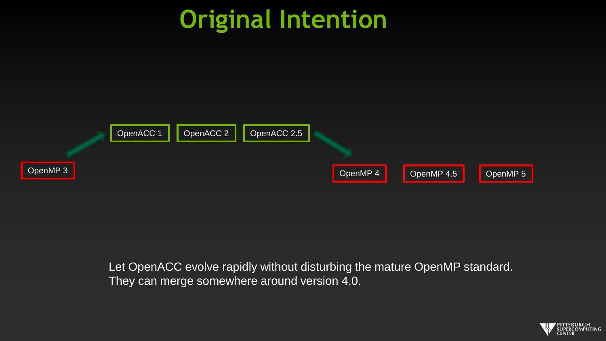# **Original Intention**



Let OpenACC evolve rapidly without disturbing the mature OpenMP standard. They can merge somewhere around version 4.0.

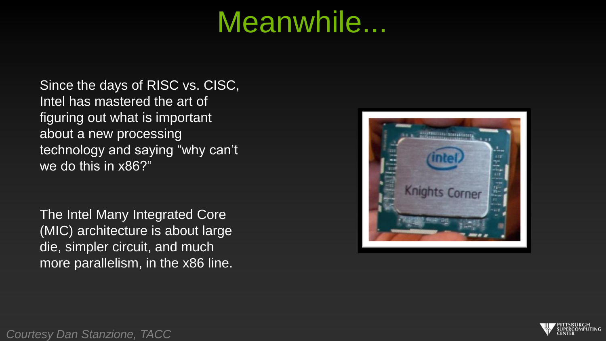# Meanwhile...

Since the days of RISC vs. CISC, Intel has mastered the art of figuring out what is important about a new processing technology and saying "why can't we do this in x86?"

The Intel Many Integrated Core (MIC) architecture is about large die, simpler circuit, and much more parallelism, in the x86 line.





*Courtesy Dan Stanzione, TACC*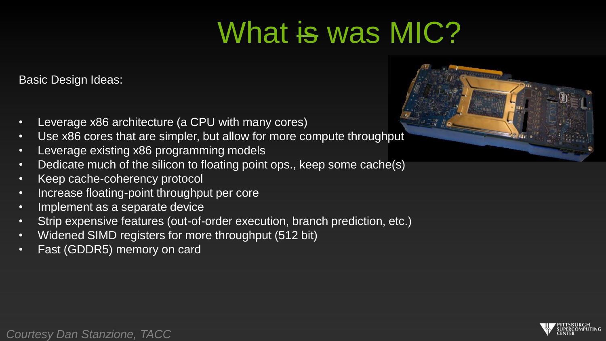# What is was MIC?

Basic Design Ideas:

- Leverage x86 architecture (a CPU with many cores)
- Use x86 cores that are simpler, but allow for more compute throughput
- Leverage existing x86 programming models
- Dedicate much of the silicon to floating point ops., keep some cache(s)
- Keep cache-coherency protocol
- Increase floating-point throughput per core
- Implement as a separate device
- Strip expensive features (out-of-order execution, branch prediction, etc.)
- Widened SIMD registers for more throughput (512 bit)
- Fast (GDDR5) memory on card





*Courtesy Dan Stanzione, TACC*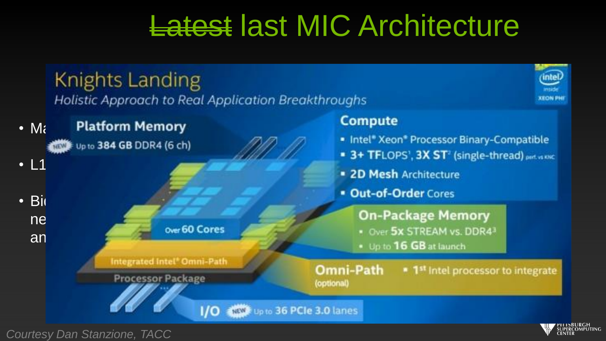# Latest last MIC Architecture



*Courtesy Dan Stanzione, TACC*

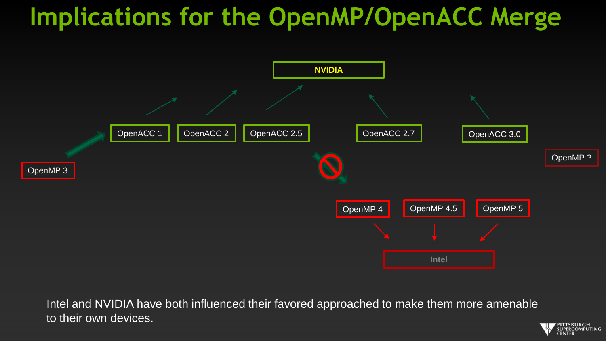# **Implications for the OpenMP/OpenACC Merge**



Intel and NVIDIA have both influenced their favored approached to make them more amenable to their own devices.

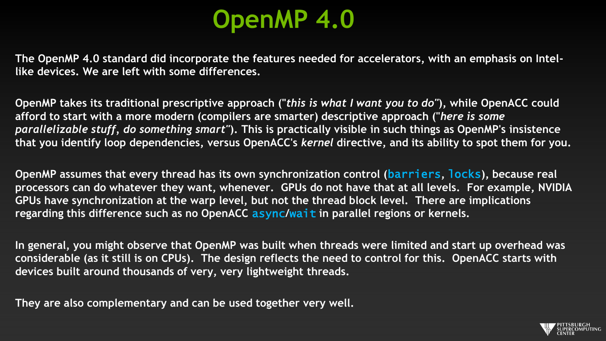# **OpenMP 4.0**

**The OpenMP 4.0 standard did incorporate the features needed for accelerators, with an emphasis on Intellike devices. We are left with some differences.**

**OpenMP takes its traditional prescriptive approach ("***this is what I want you to do"***), while OpenACC could afford to start with a more modern (compilers are smarter) descriptive approach ("***here is some parallelizable stuff, do something smart"***). This is practically visible in such things as OpenMP's insistence that you identify loop dependencies, versus OpenACC's** *kernel* **directive, and its ability to spot them for you.**

**OpenMP assumes that every thread has its own synchronization control (**barriers**,** locks**), because real processors can do whatever they want, whenever. GPUs do not have that at all levels. For example, NVIDIA GPUs have synchronization at the warp level, but not the thread block level. There are implications regarding this difference such as no OpenACC** async**/**wait **in parallel regions or kernels.**

**In general, you might observe that OpenMP was built when threads were limited and start up overhead was considerable (as it still is on CPUs). The design reflects the need to control for this. OpenACC starts with devices built around thousands of very, very lightweight threads.**

**They are also complementary and can be used together very well.**

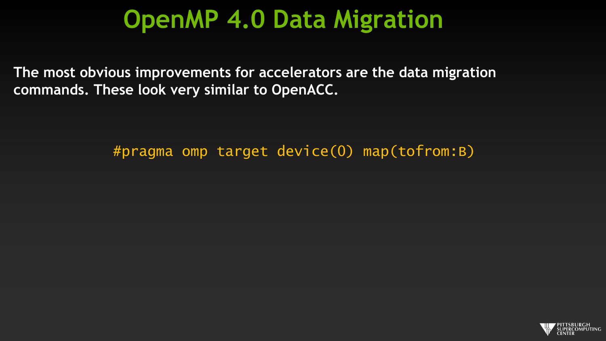### **OpenMP 4.0 Data Migration**

**The most obvious improvements for accelerators are the data migration commands. These look very similar to OpenACC.**

#pragma omp target device(0) map(tofrom:B)

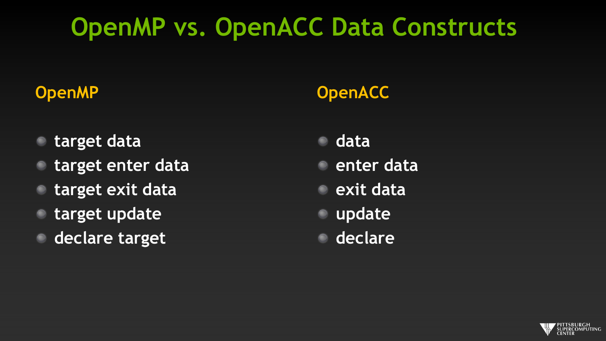# **OpenMP vs. OpenACC Data Constructs**

#### **OpenMP**

- **target data**
- **target enter data**
- **target exit data**
- **target update**
- **declare target**

#### **OpenACC**

- **data enter data**
- **exit data**
- **update**
- **declare**

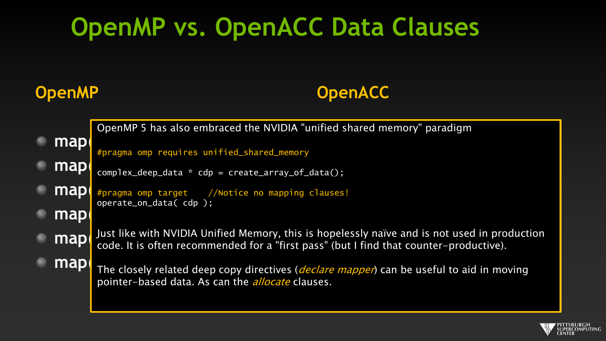# **OpenMP vs. OpenACC Data Clauses**

#### **OpenMP**

#### **OpenACC**

map **map**( complex\_deep\_data \* cdp = create\_array\_of\_data(); **map** #pragma omp target //Notice no mapping clauses! map **map** Just like with NVIDIA Unified Memory, this is hopelessly naïve and is not used in production **map**  $\alpha$ **map** The closely related deep copy directives (*declare mapper*) can be useful to aid in moving  $\cdot$ OpenMP 5 has also embraced the NVIDIA "unified shared memory" paradigm #pragma omp requires unified\_shared\_memory operate\_on\_data( cdp ); code. It is often recommended for a "first pass" (but I find that counter-productive). pointer-based data. As can the *allocate* clauses.

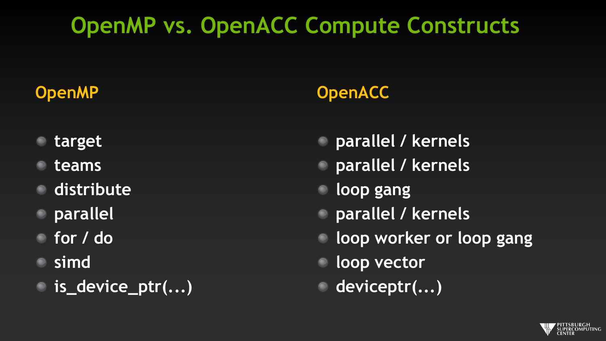### **OpenMP vs. OpenACC Compute Constructs**

#### **OpenMP**

- **target**
- **teams**
- **distribute**
- **parallel**
- **for / do**
- **simd**
- **is\_device\_ptr(...)**

#### **OpenACC**

- **parallel / kernels**
- **parallel / kernels**
- **loop gang**
- **parallel / kernels**
- **loop worker or loop gang**
- **loop vector**
- **deviceptr(...)**

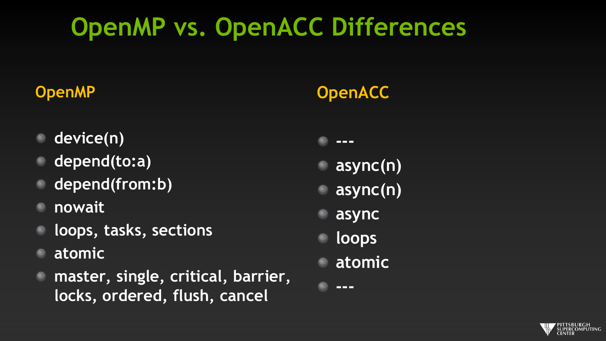# **OpenMP vs. OpenACC Differences**

#### **OpenMP**

- **device(n)**
- **depend(to:a)**
- **depend(from:b)**
- **nowait**
- **loops, tasks, sections**
- **atomic**
- **master, single, critical, barrier, locks, ordered, flush, cancel**

#### **OpenACC**

**---**

- **async(n)**
- **async(n)**
- **async**
- **loops**
- **atomic**

**---**

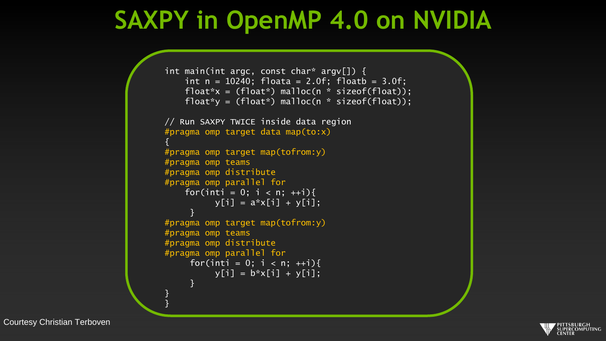### **SAXPY in OpenMP 4.0 on NVIDIA**

```
int main(int argc, const char* argv[]) {
    int n = 10240; floata = 2.0f; floatb = 3.0f;
    float*x = (float*) malloc(n * sizeof(float));
   float*y = (float*) malloc(n * sizeof(float));
// Run SAXPY TWICE inside data region
#pragma omp target data map(to:x)
{
#pragma omp target map(tofrom:y)
#pragma omp teams
#pragma omp distribute
#pragma omp parallel for
    for(inti = 0; i < n; ++i){
          y[i] = a*x[i] + y[i];}
#pragma omp target map(tofrom:y)
#pragma omp teams
#pragma omp distribute
#pragma omp parallel for
     for(inti = 0; i < n; ++i){
          y[i] = b^*x[i] + y[i];}
}
}
```
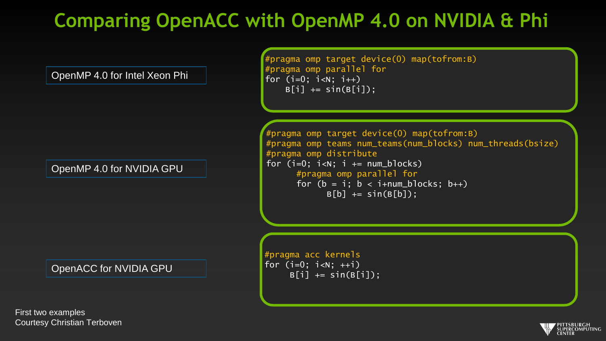#### **Comparing OpenACC with OpenMP 4.0 on NVIDIA & Phi**

OpenMP 4.0 for Intel Xeon Phi

OpenMP 4.0 for NVIDIA GPU

OpenACC for NVIDIA GPU

First two examples Courtesy Christian Terboven

#pragma omp target device(0) map(tofrom:B) #pragma omp parallel for for  $(i=0; i < N; i++)$  $B[i]$  += sin( $B[i]$ );

#pragma omp target device(0) map(tofrom:B) #pragma omp teams num\_teams(num\_blocks) num\_threads(bsize) #pragma omp distribute for  $(i=0; i< N; i += num_blocks)$ #pragma omp parallel for for  $(b = i; b < i + num_b]$  locks;  $b++$ )  $B[b]$  += sin( $B[b]$ );

#pragma acc kernels for  $(i=0; i < N; ++i)$  $B[i]$  += sin( $B[i]$ );

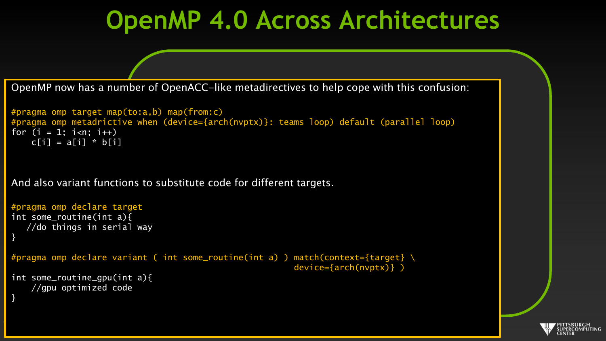### **OpenMP 4.0 Across Architectures**

OpenMP now has a number of OpenACC-like metadirectives to help cope with this confusion:

```
#pragma omp target map(to:a,b) map(from:c)
#pragma omp parallel for simd
#pragma omp metadrictive when (device={arch(nvptx)}: teams loop) default (parallel loop)
for (i = 1; i < n; i++)c[i] = a[i] * b[i]
```
And also variant functions to substitute code for different targets.

Courtesy Michael Wolfe

```
#pragma omp declare target
int some_routine(int a){
   //do things in serial way
}
#pragma omp declare variant ( int some_routine(int a) ) match(context={target} \
                                                        device={arch(nvptx)} )
int some_routine_gpu(int a){
    //gpu optimized code
}
```
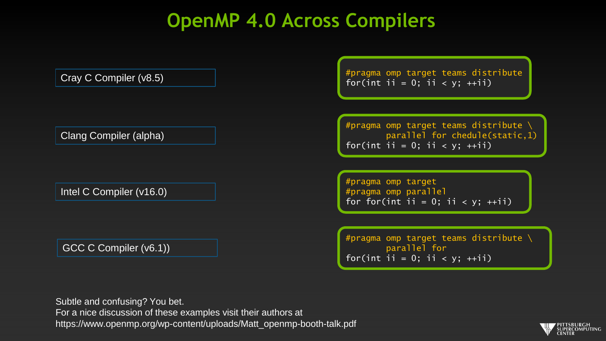#### **OpenMP 4.0 Across Compilers**

Cray C Compiler (v8.5)

Clang Compiler (alpha)

Intel C Compiler (v16.0)

GCC C Compiler (v6.1))

#pragma omp target teams distribute for(int ii = 0; ii < y;  $++ii$ )

#pragma omp target teams distribute \ parallel for chedule(static,1) for(int ii = 0; ii <  $y$ ; ++ii)

#pragma omp target #pragma omp parallel for for(int ii = 0; ii <  $y$ ; ++ii)

#pragma omp target teams distribute \ parallel for for(int ii = 0; ii < y;  $++ii$ )

Subtle and confusing? You bet. For a nice discussion of these examples visit their authors at https://www.openmp.org/wp-content/uploads/Matt\_openmp-booth-talk.pdf

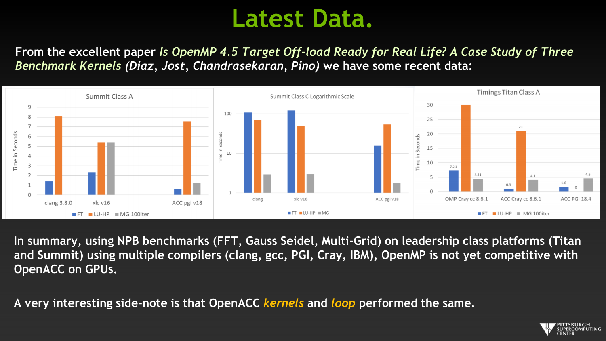### **Latest Data.**

**From the excellent paper** *Is OpenMP 4.5 Target Off-load Ready for Real Life? A Case Study of Three Benchmark Kernels (Diaz, Jost, Chandrasekaran, Pino)* **we have some recent data:**



**In summary, using NPB benchmarks (FFT, Gauss Seidel, Multi-Grid) on leadership class platforms (Titan and Summit) using multiple compilers (clang, gcc, PGI, Cray, IBM), OpenMP is not yet competitive with OpenACC on GPUs.**

**A very interesting side-note is that OpenACC** *kernels* **and** *loop* **performed the same.**